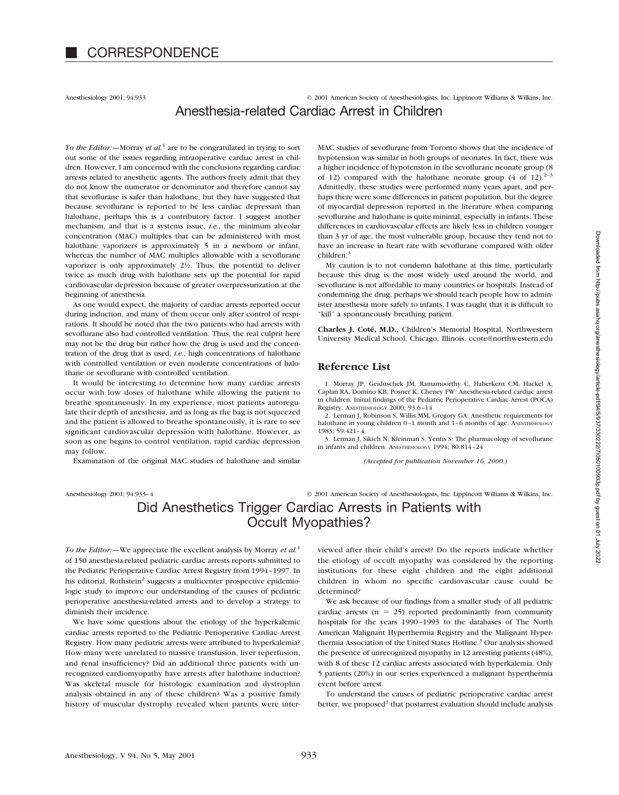Anesthesiology 2001; 94:933 © 2001 American Society of Anesthesiologists, Inc. Lippincott Williams & Wilkins, Inc. Anesthesia-related Cardiac Arrest in Children

*To the Editor:—*Morray *et al.*<sup>1</sup> are to be congratulated in trying to sort out some of the issues regarding intraoperative cardiac arrest in children. However, I am concerned with the conclusions regarding cardiac arrests related to anesthetic agents. The authors freely admit that they do not know the numerator or denominator and therefore cannot say that sevoflurane is safer than halothane, but they have suggested that because sevoflurane is reported to be less cardiac depressant than halothane, perhaps this is a contributory factor. I suggest another mechanism, and that is a systems issue, *i.e.*, the minimum alveolar concentration (MAC) multiples that can be administered with most halothane vaporizers is approximately 5 in a newborn or infant, whereas the number of MAC multiples allowable with a sevoflurane vaporizer is only approximately  $2\frac{1}{2}$ . Thus, the potential to deliver twice as much drug with halothane sets up the potential for rapid cardiovascular depression because of greater overpressurization at the beginning of anesthesia.

As one would expect, the majority of cardiac arrests reported occur during induction, and many of them occur only after control of respirations. It should be noted that the two patients who had arrests with sevoflurane also had controlled ventilation. Thus, the real culprit here may not be the drug but rather how the drug is used and the concentration of the drug that is used, *i.e.*, high concentrations of halothane with controlled ventilation or even moderate concentrations of halothane or sevoflurane with controlled ventilation.

It would be interesting to determine how many cardiac arrests occur with low doses of halothane while allowing the patient to breathe spontaneously. In my experience, most patients autoregulate their depth of anesthesia, and as long as the bag is not squeezed and the patient is allowed to breathe spontaneously, it is rare to see significant cardiovascular depression with halothane. However, as soon as one begins to control ventilation, rapid cardiac depression may follow.

Examination of the original MAC studies of halothane and similar

MAC studies of sevoflurane from Toronto shows that the incidence of hypotension was similar in both groups of neonates. In fact, there was a higher incidence of hypotension in the sevoflurane neonate group (8 of 12) compared with the halothane neonate group  $(4 \text{ of } 12)^{2-3}$ Admittedly, these studies were performed many years apart, and perhaps there were some differences in patient population, but the degree of myocardial depression reported in the literature when comparing sevoflurane and halothane is quite minimal, especially in infants. These differences in cardiovascular effects are likely less in children younger than 3 yr of age, the most vulnerable group, because they tend not to have an increase in heart rate with sevoflurane compared with older children.<sup>3</sup>

My caution is to not condemn halothane at this time, particularly because this drug is the most widely used around the world, and sevoflurane is not affordable to many countries or hospitals. Instead of condemning the drug, perhaps we should teach people how to administer anesthesia more safely to infants. I was taught that it is difficult to "kill" a spontaneously breathing patient.

**Charles J. Coté, M.D.,** Children's Memorial Hospital, Northwestern University Medical School, Chicago, Illinois. ccote@northwestern.edu

## **Reference List**

1. Morray JP, Geiduschek JM, Ramamoorthy C, Haberkern CM, Hackel A, Caplan RA, Domino KB, Posner K, Cheney FW: Anesthesia-related cardiac arrest in children: Initial findings of the Pediatric Perioperative Cardiac Arrest (POCA) Registry. ANESTHESIOLOGY 2000; 93:6–14

2. Lerman J, Robinson S, Willis MM, Gregory GA: Anesthetic requirements for halothane in young children 0-1 month and 1-6 months of age. ANESTHESIOLOGY 1983; 59:421–4

3. Lerman J, Sikich N, Kleinman S, Yentis S: The pharmacology of sevoflurane in infants and children. ANESTHESIOLOGY 1994; 80:814–24

*(Accepted for publication November 16, 2000.)*

Anesthesiology 2001; 94:933–4 © 2001 American Society of Anesthesiologists, Inc. Lippincott Williams & Wilkins, Inc.

# Did Anesthetics Trigger Cardiac Arrests in Patients with Occult Myopathies?

*To the Editor:—*We appreciate the excellent analysis by Morray *et al.*<sup>1</sup> of 150 anesthesia-related pediatric cardiac arrests reports submitted to the Pediatric Perioperative Cardiac Arrest Registry from 1994–1997. In his editorial, Rothstein<sup>2</sup> suggests a multicenter prospective epidemiologic study to improve our understanding of the causes of pediatric perioperative anesthesia-related arrests and to develop a strategy to diminish their incidence.

We have some questions about the etiology of the hyperkalemic cardiac arrests reported to the Pediatric Perioperative Cardiac Arrest Registry. How many pediatric arrests were attributed to hyperkalemia? How many were unrelated to massive transfusion, liver reperfusion, and renal insufficiency? Did an additional three patients with unrecognized cardiomyopathy have arrests after halothane induction? Was skeletal muscle for histologic examination and dystrophin analysis obtained in any of these children? Was a positive family history of muscular dystrophy revealed when parents were interviewed after their child's arrest? Do the reports indicate whether the etiology of occult myopathy was considered by the reporting institutions for these eight children and the eight additional children in whom no specific cardiovascular cause could be determined?

We ask because of our findings from a smaller study of all pediatric cardiac arrests  $(n = 25)$  reported predominantly from community hospitals for the years 1990–1993 to the databases of The North American Malignant Hyperthermia Registry and the Malignant Hyperthermia Association of the United States Hotline.<sup>3</sup> Our analysis showed the presence of unrecognized myopathy in 12 arresting patients (48%), with 8 of these 12 cardiac arrests associated with hyperkalemia. Only 5 patients (20%) in our series experienced a malignant hyperthermia event before arrest.

To understand the causes of pediatric perioperative cardiac arrest better, we proposed<sup>3</sup> that postarrest evaluation should include analysis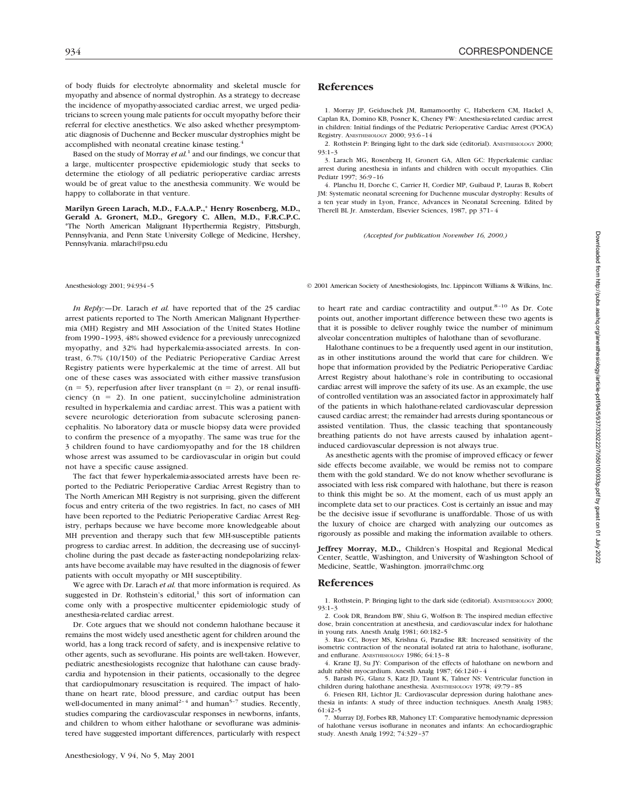of body fluids for electrolyte abnormality and skeletal muscle for myopathy and absence of normal dystrophin. As a strategy to decrease the incidence of myopathy-associated cardiac arrest, we urged pediatricians to screen young male patients for occult myopathy before their referral for elective anesthetics. We also asked whether presymptomatic diagnosis of Duchenne and Becker muscular dystrophies might be accomplished with neonatal creatine kinase testing.4

Based on the study of Morray *et al.*<sup>1</sup> and our findings, we concur that a large, multicenter prospective epidemiologic study that seeks to determine the etiology of all pediatric perioperative cardiac arrests would be of great value to the anesthesia community. We would be happy to collaborate in that venture.

**Marilyn Green Larach, M.D., F.A.A.P.,**\* **Henry Rosenberg, M.D., Gerald A. Gronert, M.D., Gregory C. Allen, M.D., F.R.C.P.C.** \*The North American Malignant Hyperthermia Registry, Pittsburgh, Pennsylvania, and Penn State University College of Medicine, Hershey, Pennsylvania. mlarach@psu.edu

*In Reply:—*Dr. Larach *et al.* have reported that of the 25 cardiac arrest patients reported to The North American Malignant Hyperthermia (MH) Registry and MH Association of the United States Hotline from 1990–1993, 48% showed evidence for a previously unrecognized myopathy, and 32% had hyperkalemia-associated arrests. In contrast, 6.7% (10/150) of the Pediatric Perioperative Cardiac Arrest Registry patients were hyperkalemic at the time of arrest. All but one of these cases was associated with either massive transfusion  $(n = 5)$ , reperfusion after liver transplant  $(n = 2)$ , or renal insufficiency ( $n = 2$ ). In one patient, succinylcholine administration resulted in hyperkalemia and cardiac arrest. This was a patient with severe neurologic deterioration from subacute sclerosing panencephalitis. No laboratory data or muscle biopsy data were provided to confirm the presence of a myopathy. The same was true for the 3 children found to have cardiomyopathy and for the 18 children whose arrest was assumed to be cardiovascular in origin but could not have a specific cause assigned.

The fact that fewer hyperkalemia-associated arrests have been reported to the Pediatric Perioperative Cardiac Arrest Registry than to The North American MH Registry is not surprising, given the different focus and entry criteria of the two registries. In fact, no cases of MH have been reported to the Pediatric Perioperative Cardiac Arrest Registry, perhaps because we have become more knowledgeable about MH prevention and therapy such that few MH-susceptible patients progress to cardiac arrest. In addition, the decreasing use of succinylcholine during the past decade as faster-acting nondepolarizing relaxants have become available may have resulted in the diagnosis of fewer patients with occult myopathy or MH susceptibility.

We agree with Dr. Larach *et al.* that more information is required. As suggested in Dr. Rothstein's editorial, $1$  this sort of information can come only with a prospective multicenter epidemiologic study of anesthesia-related cardiac arrest.

Dr. Cote argues that we should not condemn halothane because it remains the most widely used anesthetic agent for children around the world, has a long track record of safety, and is inexpensive relative to other agents, such as sevoflurane. His points are well-taken. However, pediatric anesthesiologists recognize that halothane can cause bradycardia and hypotension in their patients, occasionally to the degree that cardiopulmonary resuscitation is required. The impact of halothane on heart rate, blood pressure, and cardiac output has been well-documented in many animal<sup>2-4</sup> and human<sup>5-7</sup> studies. Recently, studies comparing the cardiovascular responses in newborns, infants, and children to whom either halothane or sevoflurane was administered have suggested important differences, particularly with respect

### **References**

1. Morray JP, Geiduschek JM, Ramamoorthy C, Haberkern CM, Hackel A, Caplan RA, Domino KB, Posner K, Cheney FW: Anesthesia-related cardiac arrest in children: Initial findings of the Pediatric Perioperative Cardiac Arrest (POCA) Registry. ANESTHESIOLOGY 2000; 93:6–14

2. Rothstein P: Bringing light to the dark side (editorial). ANESTHESIOLOGY 2000; 93:1–3

3. Larach MG, Rosenberg H, Gronert GA, Allen GC: Hyperkalemic cardiac arrest during anesthesia in infants and children with occult myopathies. Clin Pediatr 1997; 36:9–16

4. Planchu H, Dorche C, Carrier H, Cordier MP, Guibaud P, Lauras B, Robert JM: Systematic neonatal screening for Duchenne muscular dystrophy: Results of a ten year study in Lyon, France, Advances in Neonatal Screening. Edited by Therell BL Jr. Amsterdam, Elsevier Sciences, 1987, pp 371–4

*(Accepted for publication November 16, 2000.)*

Anesthesiology 2001; 94:934–5 © 2001 American Society of Anesthesiologists, Inc. Lippincott Williams & Wilkins, Inc.

to heart rate and cardiac contractility and output. $8-10$  As Dr. Cote points out, another important difference between these two agents is that it is possible to deliver roughly twice the number of minimum alveolar concentration multiples of halothane than of sevoflurane.

Halothane continues to be a frequently used agent in our institution, as in other institutions around the world that care for children. We hope that information provided by the Pediatric Perioperative Cardiac Arrest Registry about halothane's role in contributing to occasional cardiac arrest will improve the safety of its use. As an example, the use of controlled ventilation was an associated factor in approximately half of the patients in which halothane-related cardiovascular depression caused cardiac arrest; the remainder had arrests during spontaneous or assisted ventilation. Thus, the classic teaching that spontaneously breathing patients do not have arrests caused by inhalation agent– induced cardiovascular depression is not always true.

As anesthetic agents with the promise of improved efficacy or fewer side effects become available, we would be remiss not to compare them with the gold standard. We do not know whether sevoflurane is associated with less risk compared with halothane, but there is reason to think this might be so. At the moment, each of us must apply an incomplete data set to our practices. Cost is certainly an issue and may be the decisive issue if sevoflurane is unaffordable. Those of us with the luxury of choice are charged with analyzing our outcomes as rigorously as possible and making the information available to others.

**Jeffrey Morray, M.D.,** Children's Hospital and Regional Medical Center, Seattle, Washington, and University of Washington School of Medicine, Seattle, Washington. jmorra@chmc.org

### **References**

1. Rothstein, P: Bringing light to the dark side (editorial). ANESTHESIOLOGY 2000; 93:1–3

2. Cook DR, Brandom BW, Shiu G, Wolfson B: The inspired median effective dose, brain concentration at anesthesia, and cardiovascular index for halothane in young rats. Anesth Analg 1981; 60:182–5

3. Rao CC, Boyer MS, Krishna G, Paradise RR: Increased sensitivity of the isometric contraction of the neonatal isolated rat atria to halothane, isoflurane, and enflurane. ANESTHESIOLOGY 1986; 64:13–8

4. Krane EJ, Su JY: Comparison of the effects of halothane on newborn and adult rabbit myocardium. Anesth Analg 1987; 66:1240–4

5. Barash PG, Glanz S, Katz JD, Taunt K, Talner NS: Ventricular function in children during halothane anesthesia. ANESTHESIOLOGY 1978; 49:79–85

6. Friesen RH, Lichtor JL: Cardiovascular depression during halothane anesthesia in infants: A study of three induction techniques. Anesth Analg 1983; 61:42–5

7. Murray DJ, Forbes RB, Mahoney LT: Comparative hemodynamic depression of halothane versus isoflurane in neonates and infants: An echocardiographic study. Anesth Analg 1992; 74:329–37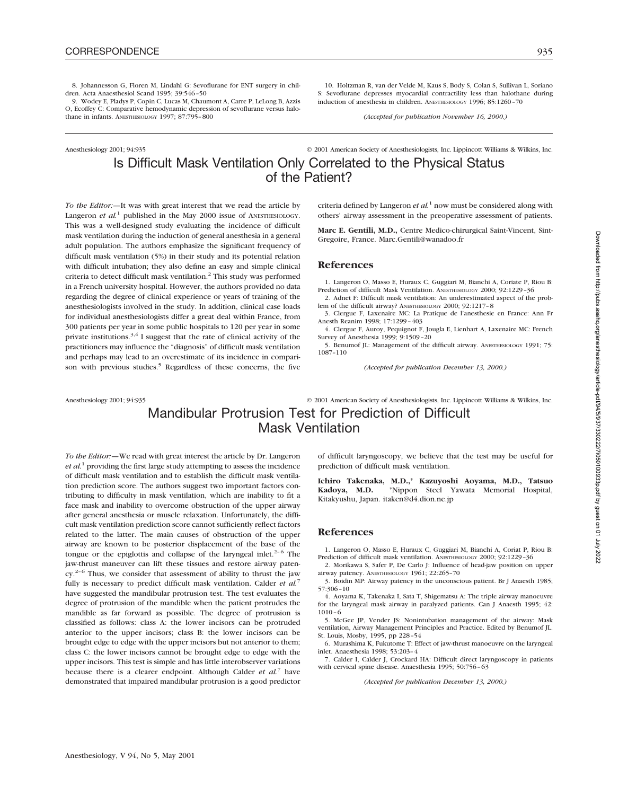8. Johannesson G, Floren M, Lindahl G: Sevoflurane for ENT surgery in children. Acta Anaesthesiol Scand 1995; 39:546–50

9. Wodey E, Pladys P, Copin C, Lucas M, Chaumont A, Carre P, LeLong B, Azzis O, Ecoffey C: Comparative hemodynamic depression of sevoflurane versus halothane in infants. ANESTHESIOLOGY 1997; 87:795-800

10. Holtzman R, van der Velde M, Kaus S, Body S, Colan S, Sullivan L, Soriano S: Sevoflurane depresses myocardial contractility less than halothane during induction of anesthesia in children. ANESTHESIOLOGY 1996; 85:1260–70

*(Accepted for publication November 16, 2000.)*

## Anesthesiology 2001; 94:935 © 2001 American Society of Anesthesiologists, Inc. Lippincott Williams & Wilkins, Inc. Is Difficult Mask Ventilation Only Correlated to the Physical Status of the Patient?

*To the Editor:—*It was with great interest that we read the article by Langeron *et al.*<sup>1</sup> published in the May 2000 issue of ANESTHESIOLOGY. This was a well-designed study evaluating the incidence of difficult mask ventilation during the induction of general anesthesia in a general adult population. The authors emphasize the significant frequency of difficult mask ventilation (5%) in their study and its potential relation with difficult intubation; they also define an easy and simple clinical criteria to detect difficult mask ventilation.<sup>2</sup> This study was performed in a French university hospital. However, the authors provided no data regarding the degree of clinical experience or years of training of the anesthesiologists involved in the study. In addition, clinical case loads for individual anesthesiologists differ a great deal within France, from 300 patients per year in some public hospitals to 120 per year in some private institutions.<sup>3,4</sup> I suggest that the rate of clinical activity of the practitioners may influence the "diagnosis" of difficult mask ventilation and perhaps may lead to an overestimate of its incidence in comparison with previous studies.<sup>5</sup> Regardless of these concerns, the five

criteria defined by Langeron *et al.*<sup>1</sup> now must be considered along with others' airway assessment in the preoperative assessment of patients.

**Marc E. Gentili, M.D.,** Centre Medico-chirurgical Saint-Vincent, Sint-Gregoire, France. Marc.Gentili@wanadoo.fr

### **References**

1. Langeron O, Masso E, Huraux C, Guggiari M, Bianchi A, Coriate P, Riou B: Prediction of difficult Mask Ventilation. ANESTHESIOLOGY 2000; 92:1229–36

2. Adnet F: Difficult mask ventilation: An underestimated aspect of the problem of the difficult airway? ANESTHESIOLOGY 2000; 92:1217–8

3. Clergue F, Laxenaire MC: La Pratique de l'anesthesie en France: Ann Fr Anesth Reanim 1998; 17:1299–403

4. Clergue F, Auroy, Pequignot F, Jougla E, Lienhart A, Laxenaire MC: French Survey of Anesthesia 1999; 9:1509–20

5. Benumof JL: Management of the difficult airway. ANESTHESIOLOGY 1991; 75: 1087–110

*(Accepted for publication December 13, 2000.)*

Anesthesiology 2001; 94:935 © 2001 American Society of Anesthesiologists, Inc. Lippincott Williams & Wilkins, Inc.

# Mandibular Protrusion Test for Prediction of Difficult Mask Ventilation

*To the Editor:—*We read with great interest the article by Dr. Langeron *et al.*<sup>1</sup> providing the first large study attempting to assess the incidence of difficult mask ventilation and to establish the difficult mask ventilation prediction score. The authors suggest two important factors contributing to difficulty in mask ventilation, which are inability to fit a face mask and inability to overcome obstruction of the upper airway after general anesthesia or muscle relaxation. Unfortunately, the difficult mask ventilation prediction score cannot sufficiently reflect factors related to the latter. The main causes of obstruction of the upper airway are known to be posterior displacement of the base of the tongue or the epiglottis and collapse of the laryngeal inlet.<sup>2–6</sup> The jaw-thrust maneuver can lift these tissues and restore airway paten $cy<sup>2-6</sup>$  Thus, we consider that assessment of ability to thrust the jaw fully is necessary to predict difficult mask ventilation. Calder *et al.*<sup>7</sup> have suggested the mandibular protrusion test. The test evaluates the degree of protrusion of the mandible when the patient protrudes the mandible as far forward as possible. The degree of protrusion is classified as follows: class A: the lower incisors can be protruded anterior to the upper incisors; class B: the lower incisors can be brought edge to edge with the upper incisors but not anterior to them; class C: the lower incisors cannot be brought edge to edge with the upper incisors. This test is simple and has little interobserver variations because there is a clearer endpoint. Although Calder *et al.*<sup>7</sup> have demonstrated that impaired mandibular protrusion is a good predictor

of difficult laryngoscopy, we believe that the test may be useful for prediction of difficult mask ventilation.

**Ichiro Takenaka, M.D.,**\* **Kazuyoshi Aoyama, M.D., Tatsuo Kadoya, M.D.** \*Nippon Steel Yawata Memorial Hospital, Kitakyushu, Japan. itaken@d4.dion.ne.jp

### **References**

1. Langeron O, Masso E, Huraux C, Guggiari M, Bianchi A, Coriat P, Riou B: Prediction of difficult mask ventilation. ANESTHESIOLOGY 2000; 92:1229-36

2. Morikawa S, Safer P, De Carlo J: Influence of head-jaw position on upper airway patency. ANESTHESIOLOGY 1961; 22:265–70

3. Boidin MP: Airway patency in the unconscious patient. Br J Anaesth 1985; 57:306–10

4. Aoyama K, Takenaka I, Sata T, Shigematsu A: The triple airway manoeuvre for the laryngeal mask airway in paralyzed patients. Can J Anaesth 1995; 42: 1010–6

5. McGee JP, Vender JS: Nonintubation management of the airway: Mask ventilation, Airway Management Principles and Practice. Edited by Benumof JL. St. Louis, Mosby, 1995, pp 228–54

6. Murashima K, Fukutome T: Effect of jaw-thrust manoeuvre on the laryngeal inlet. Anaesthesia 1998; 53:203–4

7. Calder I, Calder J, Crockard HA: Difficult direct laryngoscopy in patients with cervical spine disease. Anaesthesia 1995; 50:756–63

*(Accepted for publication December 13, 2000.)*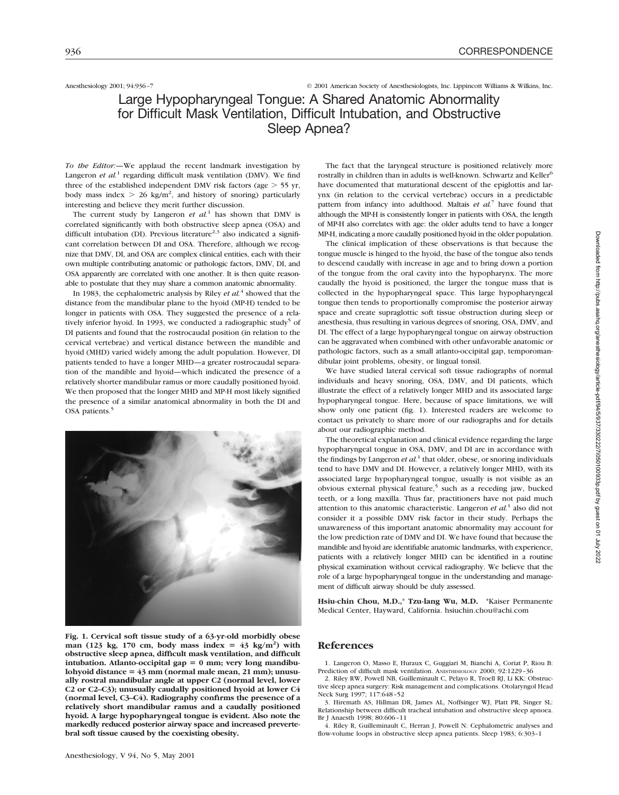## Anesthesiology 2001; 94:936–7 © 2001 American Society of Anesthesiologists, Inc. Lippincott Williams & Wilkins, Inc.

# Large Hypopharyngeal Tongue: A Shared Anatomic Abnormality for Difficult Mask Ventilation, Difficult Intubation, and Obstructive Sleep Apnea?

*To the Editor:—*We applaud the recent landmark investigation by Langeron *et al.*<sup>1</sup> regarding difficult mask ventilation (DMV). We find three of the established independent DMV risk factors (age  $>$  55 yr, body mass index  $> 26$  kg/m<sup>2</sup>, and history of snoring) particularly interesting and believe they merit further discussion.

The current study by Langeron *et al.*<sup>1</sup> has shown that DMV is correlated significantly with both obstructive sleep apnea (OSA) and difficult intubation (DI). Previous literature<sup>2,3</sup> also indicated a significant correlation between DI and OSA. Therefore, although we recognize that DMV, DI, and OSA are complex clinical entities, each with their own multiple contributing anatomic or pathologic factors, DMV, DI, and OSA apparently are correlated with one another. It is then quite reasonable to postulate that they may share a common anatomic abnormality.

In 1983, the cephalometric analysis by Riley *et al.*<sup>4</sup> showed that the distance from the mandibular plane to the hyoid (MP-H) tended to be longer in patients with OSA. They suggested the presence of a relatively inferior hyoid. In 1993, we conducted a radiographic study<sup>5</sup> of DI patients and found that the rostrocaudal position (in relation to the cervical vertebrae) and vertical distance between the mandible and hyoid (MHD) varied widely among the adult population. However, DI patients tended to have a longer MHD—a greater rostrocaudal separation of the mandible and hyoid—which indicated the presence of a relatively shorter mandibular ramus or more caudally positioned hyoid. We then proposed that the longer MHD and MP-H most likely signified the presence of a similar anatomical abnormality in both the DI and OSA patients.<sup>5</sup>



**Fig. 1. Cervical soft tissue study of a 63-yr-old morbidly obese** man (123 kg, 170 cm, body mass index =  $43 \text{ kg/m}^2$ ) with **obstructive sleep apnea, difficult mask ventilation, and difficult** intubation. Atlanto-occipital gap = 0 mm; very long mandibu- $\lambda$  lohyoid distance =  $43 \text{ mm}$  (normal male mean, 21 mm); unusu**ally rostral mandibular angle at upper C2 (normal level, lower C2 or C2–C3); unusually caudally positioned hyoid at lower C4 (normal level, C3–C4). Radiography confirms the presence of a relatively short mandibular ramus and a caudally positioned hyoid. A large hypopharyngeal tongue is evident. Also note the markedly reduced posterior airway space and increased prevertebral soft tissue caused by the coexisting obesity.**

The fact that the laryngeal structure is positioned relatively more rostrally in children than in adults is well-known. Schwartz and Keller<sup>6</sup> have documented that maturational descent of the epiglottis and larynx (in relation to the cervical vertebrae) occurs in a predictable pattern from infancy into adulthood. Maltais *et al.*<sup>7</sup> have found that although the MP-H is consistently longer in patients with OSA, the length of MP-H also correlates with age: the older adults tend to have a longer MP-H, indicating a more caudally positioned hyoid in the older population.

The clinical implication of these observations is that because the tongue muscle is hinged to the hyoid, the base of the tongue also tends to descend caudally with increase in age and to bring down a portion of the tongue from the oral cavity into the hypopharynx. The more caudally the hyoid is positioned, the larger the tongue mass that is collected in the hypopharyngeal space. This large hypopharyngeal tongue then tends to proportionally compromise the posterior airway space and create supraglottic soft tissue obstruction during sleep or anesthesia, thus resulting in various degrees of snoring, OSA, DMV, and DI. The effect of a large hypopharyngeal tongue on airway obstruction can be aggravated when combined with other unfavorable anatomic or pathologic factors, such as a small atlanto-occipital gap, temporomandibular joint problems, obesity, or lingual tonsil.

We have studied lateral cervical soft tissue radiographs of normal individuals and heavy snoring, OSA, DMV, and DI patients, which illustrate the effect of a relatively longer MHD and its associated large hypopharyngeal tongue. Here, because of space limitations, we will show only one patient (fig. 1). Interested readers are welcome to contact us privately to share more of our radiographs and for details about our radiographic method.

The theoretical explanation and clinical evidence regarding the large hypopharyngeal tongue in OSA, DMV, and DI are in accordance with the findings by Langeron *et*  $al<sup>1</sup>$  that older, obese, or snoring individuals tend to have DMV and DI. However, a relatively longer MHD, with its associated large hypopharyngeal tongue, usually is not visible as an obvious external physical feature,<sup>5</sup> such as a receding jaw, bucked teeth, or a long maxilla. Thus far, practitioners have not paid much attention to this anatomic characteristic. Langeron *et al.*<sup>1</sup> also did not consider it a possible DMV risk factor in their study. Perhaps the unawareness of this important anatomic abnormality may account for the low prediction rate of DMV and DI. We have found that because the mandible and hyoid are identifiable anatomic landmarks, with experience, patients with a relatively longer MHD can be identified in a routine physical examination without cervical radiography. We believe that the role of a large hypopharyngeal tongue in the understanding and management of difficult airway should be duly assessed.

**Hsiu-chin Chou, M.D.,**\* **Tzu-lang Wu, M.D.** \*Kaiser Permanente Medical Center, Hayward, California. hsiuchin.chou@achi.com

## **References**

1. Langeron O, Masso E, Huraux C, Guggiari M, Bianchi A, Coriat P, Riou B: Prediction of difficult mask ventilation. ANESTHESIOLOGY 2000: 92:1229-36

2. Riley RW, Powell NB, Guilleminault C, Pelayo R, Troell RJ, Li KK: Obstructive sleep apnea surgery: Risk management and complications. Otolaryngol Head Neck Surg 1997; 117:648–52

3. Hiremath AS, Hillman DR, James AL, Noffsinger WJ, Platt PR, Singer SL: Relationship between difficult tracheal intubation and obstructive sleep apnoea. Br J Anaesth 1998; 80:606–11

4. Riley R, Guilleminault C, Herran J, Powell N: Cephalometric analyses and flow-volume loops in obstructive sleep apnea patients. Sleep 1983; 6:303–1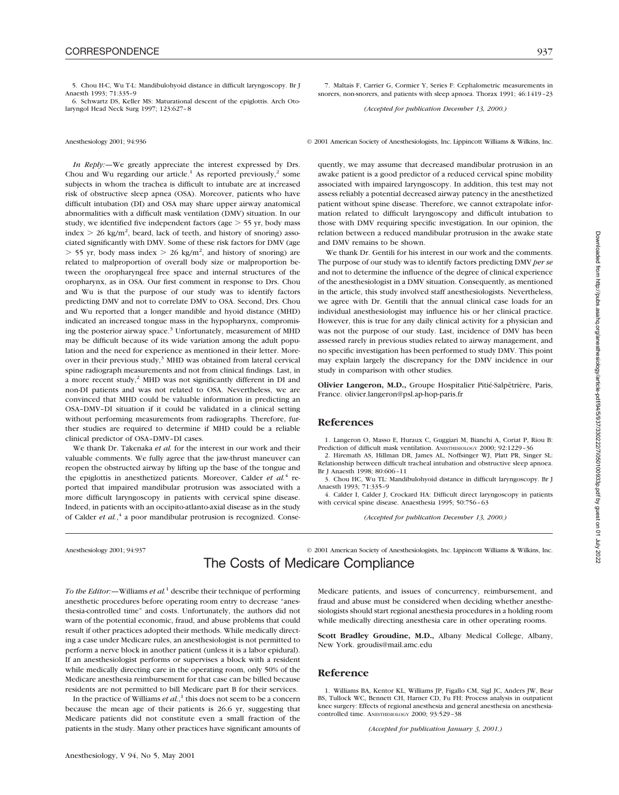6. Schwartz DS, Keller MS: Maturational descent of the epiglottis. Arch Otolaryngol Head Neck Surg 1997; 123:627–8

*In Reply:—*We greatly appreciate the interest expressed by Drs. Chou and Wu regarding our article.<sup>1</sup> As reported previously,<sup>2</sup> some subjects in whom the trachea is difficult to intubate are at increased risk of obstructive sleep apnea (OSA). Moreover, patients who have difficult intubation (DI) and OSA may share upper airway anatomical abnormalities with a difficult mask ventilation (DMV) situation. In our study, we identified five independent factors (age  $>$  55 yr, body mass index  $> 26$  kg/m<sup>2</sup>, beard, lack of teeth, and history of snoring) associated significantly with DMV. Some of these risk factors for DMV (age  $>$  55 yr, body mass index  $>$  26 kg/m<sup>2</sup>, and history of snoring) are related to malproportion of overall body size or malproportion between the oropharyngeal free space and internal structures of the oropharynx, as in OSA. Our first comment in response to Drs. Chou and Wu is that the purpose of our study was to identify factors predicting DMV and not to correlate DMV to OSA. Second, Drs. Chou and Wu reported that a longer mandible and hyoid distance (MHD) indicated an increased tongue mass in the hypopharynx, compromising the posterior airway space.<sup>3</sup> Unfortunately, measurement of MHD may be difficult because of its wide variation among the adult population and the need for experience as mentioned in their letter. Moreover in their previous study, $3$  MHD was obtained from lateral cervical spine radiograph measurements and not from clinical findings. Last, in a more recent study,<sup>2</sup> MHD was not significantly different in DI and non-DI patients and was not related to OSA. Nevertheless, we are convinced that MHD could be valuable information in predicting an OSA–DMV–DI situation if it could be validated in a clinical setting without performing measurements from radiographs. Therefore, further studies are required to determine if MHD could be a reliable clinical predictor of OSA–DMV–DI cases.

We thank Dr. Takenaka *et al.* for the interest in our work and their valuable comments. We fully agree that the jaw-thrust maneuver can reopen the obstructed airway by lifting up the base of the tongue and the epiglottis in anesthetized patients. Moreover, Calder *et al.*<sup>4</sup> reported that impaired mandibular protrusion was associated with a more difficult laryngoscopy in patients with cervical spine disease. Indeed, in patients with an occipito-atlanto-axial disease as in the study of Calder *et al.*, <sup>4</sup> a poor mandibular protrusion is recognized. Conse-

7. Maltais F, Carrier G, Cormier Y, Series F: Cephalometric measurements in snorers, non-snorers, and patients with sleep apnoea. Thorax 1991; 46:1419–23

*(Accepted for publication December 13, 2000.)*

Anesthesiology 2001; 94:936 © 2001 American Society of Anesthesiologists, Inc. Lippincott Williams & Wilkins, Inc.

quently, we may assume that decreased mandibular protrusion in an awake patient is a good predictor of a reduced cervical spine mobility associated with impaired laryngoscopy. In addition, this test may not assess reliably a potential decreased airway patency in the anesthetized patient without spine disease. Therefore, we cannot extrapolate information related to difficult laryngoscopy and difficult intubation to those with DMV requiring specific investigation. In our opinion, the relation between a reduced mandibular protrusion in the awake state and DMV remains to be shown.

We thank Dr. Gentili for his interest in our work and the comments. The purpose of our study was to identify factors predicting DMV *per se* and not to determine the influence of the degree of clinical experience of the anesthesiologist in a DMV situation. Consequently, as mentioned in the article, this study involved staff anesthesiologists. Nevertheless, we agree with Dr. Gentili that the annual clinical case loads for an individual anesthesiologist may influence his or her clinical practice. However, this is true for any daily clinical activity for a physician and was not the purpose of our study. Last, incidence of DMV has been assessed rarely in previous studies related to airway management, and no specific investigation has been performed to study DMV. This point may explain largely the discrepancy for the DMV incidence in our study in comparison with other studies.

**Olivier Langeron, M.D.,** Groupe Hospitalier Pitié-Salpêtrière, Paris, France. olivier.langeron@psl.ap-hop-paris.fr

### **References**

1. Langeron O, Masso E, Huraux C, Guggiari M, Bianchi A, Coriat P, Riou B: Prediction of difficult mask ventilation. ANESTHESIOLOGY 2000; 92:1229–36

2. Hiremath AS, Hillman DR, James AL, Noffsinger WJ, Platt PR, Singer SL: Relationship between difficult tracheal intubation and obstructive sleep apnoea. Br J Anaesth 1998; 80:606–11

3. Chou HC, Wu TL: Mandibulohyoid distance in difficult laryngoscopy. Br J Anaesth 1993; 71:335–9

4. Calder I, Calder J, Crockard HA: Difficult direct laryngoscopy in patients with cervical spine disease. Anaesthesia 1995; 50:756–63

*(Accepted for publication December 13, 2000.)*

Anesthesiology 2001; 94:937 © 2001 American Society of Anesthesiologists, Inc. Lippincott Williams & Wilkins, Inc.

## The Costs of Medicare Compliance

*To the Editor:—*Williams *et al.*<sup>1</sup> describe their technique of performing anesthetic procedures before operating room entry to decrease "anesthesia-controlled time" and costs. Unfortunately, the authors did not warn of the potential economic, fraud, and abuse problems that could result if other practices adopted their methods. While medically directing a case under Medicare rules, an anesthesiologist is not permitted to perform a nerve block in another patient (unless it is a labor epidural). If an anesthesiologist performs or supervises a block with a resident while medically directing care in the operating room, only 50% of the Medicare anesthesia reimbursement for that case can be billed because residents are not permitted to bill Medicare part B for their services.

In the practice of Williams *et al.*, <sup>1</sup> this does not seem to be a concern because the mean age of their patients is 26.6 yr, suggesting that Medicare patients did not constitute even a small fraction of the patients in the study. Many other practices have significant amounts of Medicare patients, and issues of concurrency, reimbursement, and fraud and abuse must be considered when deciding whether anesthesiologists should start regional anesthesia procedures in a holding room while medically directing anesthesia care in other operating rooms.

**Scott Bradley Groudine, M.D.,** Albany Medical College, Albany, New York. groudis@mail.amc.edu

## **Reference**

1. Williams BA, Kentor KL, Williams JP, Figallo CM, Sigl JC, Anders JW, Bear BS, Tullock WC, Bennett CH, Harner CD, Fu FH: Process analysis in outpatient knee surgery: Effects of regional anesthesia and general anesthesia on anesthesiacontrolled time. ANESTHESIOLOGY 2000; 93:529–38

*(Accepted for publication January 3, 2001.)*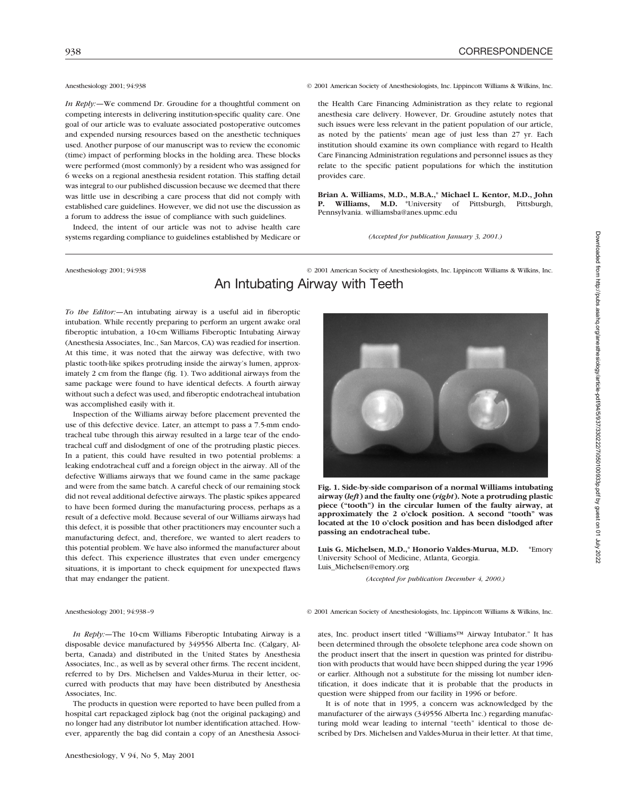*In Reply:*—We commend Dr. Groudine for a thoughtful comment on competing interests in delivering institution-specific quality care. One goal of our article was to evaluate associated postoperative outcomes and expended nursing resources based on the anesthetic techniques used. Another purpose of our manuscript was to review the economic (time) impact of performing blocks in the holding area. These blocks were performed (most commonly) by a resident who was assigned for 6 weeks on a regional anesthesia resident rotation. This staffing detail was integral to our published discussion because we deemed that there was little use in describing a care process that did not comply with established care guidelines. However, we did not use the discussion as a forum to address the issue of compliance with such guidelines.

Indeed, the intent of our article was not to advise health care systems regarding compliance to guidelines established by Medicare or

Anesthesiology 2001; 94:938 © 2001 American Society of Anesthesiologists, Inc. Lippincott Williams & Wilkins, Inc.

the Health Care Financing Administration as they relate to regional anesthesia care delivery. However, Dr. Groudine astutely notes that such issues were less relevant in the patient population of our article, as noted by the patients' mean age of just less than 27 yr. Each institution should examine its own compliance with regard to Health Care Financing Administration regulations and personnel issues as they relate to the specific patient populations for which the institution provides care.

**Brian A. Williams, M.D., M.B.A.,**\* **Michael L. Kentor, M.D., John P. Williams, M.D.** \*University of Pittsburgh, Pittsburgh, Pennsylvania. williamsba@anes.upmc.edu

*(Accepted for publication January 3, 2001.)*

## Anesthesiology 2001; 94:938 © 2001 American Society of Anesthesiologists, Inc. Lippincott Williams & Wilkins, Inc. An Intubating Airway with Teeth

*To the Editor:—*An intubating airway is a useful aid in fiberoptic intubation. While recently preparing to perform an urgent awake oral fiberoptic intubation, a 10-cm Williams Fiberoptic Intubating Airway (Anesthesia Associates, Inc., San Marcos, CA) was readied for insertion. At this time, it was noted that the airway was defective, with two plastic tooth-like spikes protruding inside the airway's lumen, approximately 2 cm from the flange (fig. 1). Two additional airways from the same package were found to have identical defects. A fourth airway without such a defect was used, and fiberoptic endotracheal intubation was accomplished easily with it.

Inspection of the Williams airway before placement prevented the use of this defective device. Later, an attempt to pass a 7.5-mm endotracheal tube through this airway resulted in a large tear of the endotracheal cuff and dislodgment of one of the protruding plastic pieces. In a patient, this could have resulted in two potential problems: a leaking endotracheal cuff and a foreign object in the airway. All of the defective Williams airways that we found came in the same package and were from the same batch. A careful check of our remaining stock did not reveal additional defective airways. The plastic spikes appeared to have been formed during the manufacturing process, perhaps as a result of a defective mold. Because several of our Williams airways had this defect, it is possible that other practitioners may encounter such a manufacturing defect, and, therefore, we wanted to alert readers to this potential problem. We have also informed the manufacturer about this defect. This experience illustrates that even under emergency situations, it is important to check equipment for unexpected flaws that may endanger the patient.



**Fig. 1. Side-by-side comparison of a normal Williams intubating airway (***left***) and the faulty one (***right***). Note a protruding plastic piece ("tooth") in the circular lumen of the faulty airway, at approximately the 2 o'clock position. A second "tooth" was located at the 10 o'clock position and has been dislodged after passing an endotracheal tube.**

**Luis G. Michelsen, M.D.,**\* **Honorio Valdes-Murua, M.D.** \*Emory University School of Medicine, Atlanta, Georgia. Luis\_Michelsen@emory.org

*(Accepted for publication December 4, 2000.)*

### Anesthesiology 2001; 94:938–9 © 2001 American Society of Anesthesiologists, Inc. Lippincott Williams & Wilkins, Inc.

ates, Inc. product insert titled "Williams™ Airway Intubator." It has

*In Reply:—*The 10-cm Williams Fiberoptic Intubating Airway is a disposable device manufactured by 349556 Alberta Inc. (Calgary, Alberta, Canada) and distributed in the United States by Anesthesia Associates, Inc., as well as by several other firms. The recent incident, referred to by Drs. Michelsen and Valdes-Murua in their letter, occurred with products that may have been distributed by Anesthesia Associates, Inc.

The products in question were reported to have been pulled from a hospital cart repackaged ziplock bag (not the original packaging) and no longer had any distributor lot number identification attached. However, apparently the bag did contain a copy of an Anesthesia Associ-

been determined through the obsolete telephone area code shown on the product insert that the insert in question was printed for distribution with products that would have been shipped during the year 1996 or earlier. Although not a substitute for the missing lot number identification, it does indicate that it is probable that the products in question were shipped from our facility in 1996 or before.

> It is of note that in 1995, a concern was acknowledged by the manufacturer of the airways (349556 Alberta Inc.) regarding manufacturing mold wear leading to internal "teeth" identical to those described by Drs. Michelsen and Valdes-Murua in their letter. At that time,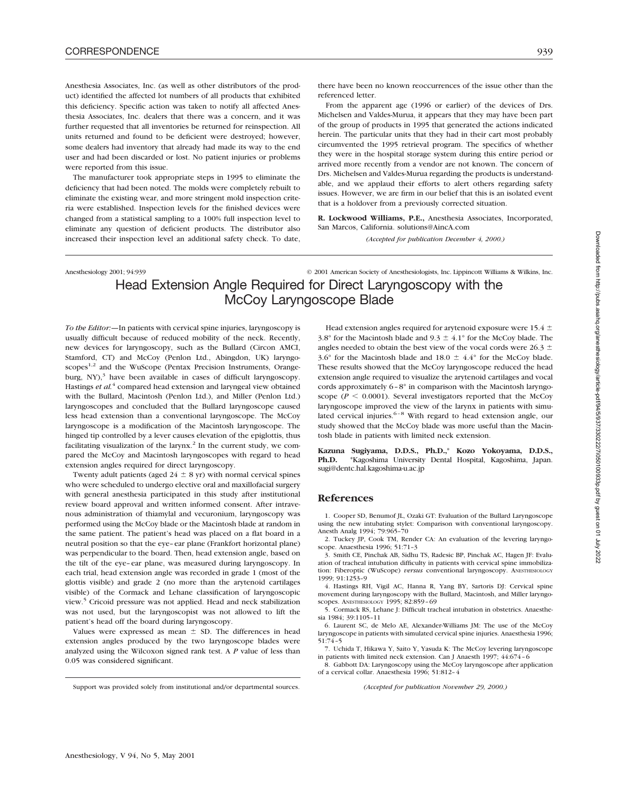Anesthesia Associates, Inc. (as well as other distributors of the product) identified the affected lot numbers of all products that exhibited this deficiency. Specific action was taken to notify all affected Anesthesia Associates, Inc. dealers that there was a concern, and it was further requested that all inventories be returned for reinspection. All units returned and found to be deficient were destroyed; however, some dealers had inventory that already had made its way to the end user and had been discarded or lost. No patient injuries or problems were reported from this issue.

The manufacturer took appropriate steps in 1995 to eliminate the deficiency that had been noted. The molds were completely rebuilt to eliminate the existing wear, and more stringent mold inspection criteria were established. Inspection levels for the finished devices were changed from a statistical sampling to a 100% full inspection level to eliminate any question of deficient products. The distributor also increased their inspection level an additional safety check. To date, there have been no known reoccurrences of the issue other than the referenced letter.

From the apparent age (1996 or earlier) of the devices of Drs. Michelsen and Valdes-Murua, it appears that they may have been part of the group of products in 1995 that generated the actions indicated herein. The particular units that they had in their cart most probably circumvented the 1995 retrieval program. The specifics of whether they were in the hospital storage system during this entire period or arrived more recently from a vendor are not known. The concern of Drs. Michelsen and Valdes-Murua regarding the products is understandable, and we applaud their efforts to alert others regarding safety issues. However, we are firm in our belief that this is an isolated event that is a holdover from a previously corrected situation.

**R. Lockwood Williams, P.E.,** Anesthesia Associates, Incorporated, San Marcos, California. solutions@AincA.com

*(Accepted for publication December 4, 2000.)*

Anesthesiology 2001; 94:939 © 2001 American Society of Anesthesiologists, Inc. Lippincott Williams & Wilkins, Inc.

# Head Extension Angle Required for Direct Laryngoscopy with the McCoy Laryngoscope Blade

*To the Editor:—*In patients with cervical spine injuries, laryngoscopy is usually difficult because of reduced mobility of the neck. Recently, new devices for laryngoscopy, such as the Bullard (Circon AMCI, Stamford, CT) and McCoy (Penlon Ltd., Abingdon, UK) laryngoscopes<sup>1,2</sup> and the WuScope (Pentax Precision Instruments, Orangeburg,  $NY$ ),<sup>3</sup> have been available in cases of difficult laryngoscopy. Hastings *et al.*<sup>4</sup> compared head extension and laryngeal view obtained with the Bullard, Macintosh (Penlon Ltd.), and Miller (Penlon Ltd.) laryngoscopes and concluded that the Bullard laryngoscope caused less head extension than a conventional laryngoscope. The McCoy laryngoscope is a modification of the Macintosh laryngoscope. The hinged tip controlled by a lever causes elevation of the epiglottis, thus facilitating visualization of the larynx.<sup>2</sup> In the current study, we compared the McCoy and Macintosh laryngoscopes with regard to head extension angles required for direct laryngoscopy.

Twenty adult patients (aged  $24 \pm 8$  yr) with normal cervical spines who were scheduled to undergo elective oral and maxillofacial surgery with general anesthesia participated in this study after institutional review board approval and written informed consent. After intravenous administration of thiamylal and vecuronium, laryngoscopy was performed using the McCoy blade or the Macintosh blade at random in the same patient. The patient's head was placed on a flat board in a neutral position so that the eye–ear plane (Frankfort horizontal plane) was perpendicular to the board. Then, head extension angle, based on the tilt of the eye–ear plane, was measured during laryngoscopy. In each trial, head extension angle was recorded in grade 1 (most of the glottis visible) and grade 2 (no more than the arytenoid cartilages visible) of the Cormack and Lehane classification of laryngoscopic view.<sup>5</sup> Cricoid pressure was not applied. Head and neck stabilization was not used, but the laryngoscopist was not allowed to lift the patient's head off the board during laryngoscopy.

Values were expressed as mean  $\pm$  SD. The differences in head extension angles produced by the two laryngoscope blades were analyzed using the Wilcoxon signed rank test. A *P* value of less than 0.05 was considered significant.

Head extension angles required for arytenoid exposure were 15.4  $\pm$ 3.8° for the Macintosh blade and 9.3  $\pm$  4.1° for the McCoy blade. The angles needed to obtain the best view of the vocal cords were 26.3  $\pm$ 3.6° for the Macintosh blade and 18.0  $\pm$  4.4° for the McCoy blade. These results showed that the McCoy laryngoscope reduced the head extension angle required to visualize the arytenoid cartilages and vocal cords approximately 6–8° in comparison with the Macintosh laryngoscope ( $P < 0.0001$ ). Several investigators reported that the McCoy laryngoscope improved the view of the larynx in patients with simulated cervical injuries. $6-8$  With regard to head extension angle, our study showed that the McCoy blade was more useful than the Macintosh blade in patients with limited neck extension.

**Kazuna Sugiyama, D.D.S., Ph.D.,**\* **Kozo Yokoyama, D.D.S., Ph.D.** \*Kagoshima University Dental Hospital, Kagoshima, Japan. sugi@dentc.hal.kagoshima-u.ac.jp

## **References**

1. Cooper SD, Benumof JL, Ozaki GT: Evaluation of the Bullard Laryngoscope using the new intubating stylet: Comparison with conventional laryngoscopy. Anesth Analg 1994; 79:965–70

2. Tuckey JP, Cook TM, Render CA: An evaluation of the levering laryngoscope. Anaesthesia 1996; 51:71–3

3. Smith CE, Pinchak AB, Sidhu TS, Radesic BP, Pinchak AC, Hagen JF: Evaluation of tracheal intubation difficulty in patients with cervical spine immobilization: Fiberoptic (WuScope) *versus* conventional laryngoscopy. ANESTHESIOLOGY 1999; 91:1253–9

4. Hastings RH, Vigil AC, Hanna R, Yang BY, Sartoris DJ: Cervical spine movement during laryngoscopy with the Bullard, Macintosh, and Miller laryngoscopes. ANESTHESIOLOGY 1995; 82:859–69

5. Cormack RS, Lehane J: Difficult tracheal intubation in obstetrics. Anaesthesia 1984; 39:1105–11

6. Laurent SC, de Melo AE, Alexander-Williams JM: The use of the McCoy laryngoscope in patients with simulated cervical spine injuries. Anaesthesia 1996; 51:74–5

7. Uchida T, Hikawa Y, Saito Y, Yasuda K: The McCoy levering laryngoscope in patients with limited neck extension. Can J Anaesth 1997; 44:674–6

8. Gabbott DA: Laryngoscopy using the McCoy laryngoscope after application of a cervical collar. Anaesthesia 1996; 51:812–4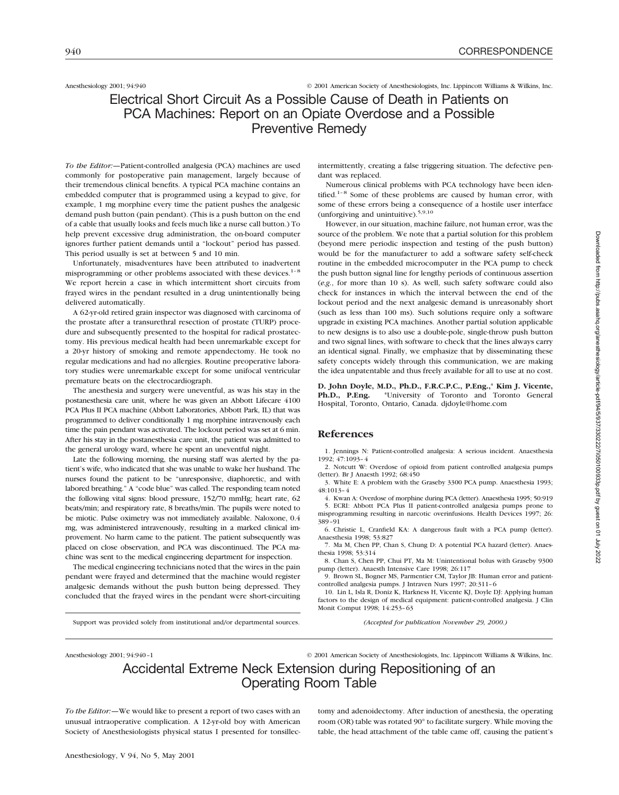Anesthesiology 2001; 94:940 © 2001 American Society of Anesthesiologists, Inc. Lippincott Williams & Wilkins, Inc.

# Electrical Short Circuit As a Possible Cause of Death in Patients on PCA Machines: Report on an Opiate Overdose and a Possible Preventive Remedy

*To the Editor:—*Patient-controlled analgesia (PCA) machines are used commonly for postoperative pain management, largely because of their tremendous clinical benefits. A typical PCA machine contains an embedded computer that is programmed using a keypad to give, for example, 1 mg morphine every time the patient pushes the analgesic demand push button (pain pendant). (This is a push button on the end of a cable that usually looks and feels much like a nurse call button.) To help prevent excessive drug administration, the on-board computer ignores further patient demands until a "lockout" period has passed. This period usually is set at between 5 and 10 min.

Unfortunately, misadventures have been attributed to inadvertent misprogramming or other problems associated with these devices.<sup>1-8</sup> We report herein a case in which intermittent short circuits from frayed wires in the pendant resulted in a drug unintentionally being delivered automatically.

A 62-yr-old retired grain inspector was diagnosed with carcinoma of the prostate after a transurethral resection of prostate (TURP) procedure and subsequently presented to the hospital for radical prostatectomy. His previous medical health had been unremarkable except for a 20-yr history of smoking and remote appendectomy. He took no regular medications and had no allergies. Routine preoperative laboratory studies were unremarkable except for some unifocal ventricular premature beats on the electrocardiograph.

The anesthesia and surgery were uneventful, as was his stay in the postanesthesia care unit, where he was given an Abbott Lifecare 4100 PCA Plus II PCA machine (Abbott Laboratories, Abbott Park, IL) that was programmed to deliver conditionally 1 mg morphine intravenously each time the pain pendant was activated. The lockout period was set at 6 min. After his stay in the postanesthesia care unit, the patient was admitted to the general urology ward, where he spent an uneventful night.

Late the following morning, the nursing staff was alerted by the patient's wife, who indicated that she was unable to wake her husband. The nurses found the patient to be "unresponsive, diaphoretic, and with labored breathing." A "code blue" was called. The responding team noted the following vital signs: blood pressure, 152/70 mmHg; heart rate, 62 beats/min; and respiratory rate, 8 breaths/min. The pupils were noted to be miotic. Pulse oximetry was not immediately available. Naloxone, 0.4 mg, was administered intravenously, resulting in a marked clinical improvement. No harm came to the patient. The patient subsequently was placed on close observation, and PCA was discontinued. The PCA machine was sent to the medical engineering department for inspection.

The medical engineering technicians noted that the wires in the pain pendant were frayed and determined that the machine would register analgesic demands without the push button being depressed. They concluded that the frayed wires in the pendant were short-circuiting

Support was provided solely from institutional and/or departmental sources.

intermittently, creating a false triggering situation. The defective pendant was replaced.

Numerous clinical problems with PCA technology have been identified.<sup>1-8</sup> Some of these problems are caused by human error, with some of these errors being a consequence of a hostile user interface (unforgiving and unintuitive).5,9,10

However, in our situation, machine failure, not human error, was the source of the problem. We note that a partial solution for this problem (beyond mere periodic inspection and testing of the push button) would be for the manufacturer to add a software safety self-check routine in the embedded microcomputer in the PCA pump to check the push button signal line for lengthy periods of continuous assertion (*e.g.*, for more than 10 s). As well, such safety software could also check for instances in which the interval between the end of the lockout period and the next analgesic demand is unreasonably short (such as less than 100 ms). Such solutions require only a software upgrade in existing PCA machines. Another partial solution applicable to new designs is to also use a double-pole, single-throw push button and two signal lines, with software to check that the lines always carry an identical signal. Finally, we emphasize that by disseminating these safety concepts widely through this communication, we are making the idea unpatentable and thus freely available for all to use at no cost.

**D. John Doyle, M.D., Ph.D., F.R.C.P.C., P.Eng.,**\* **Kim J. Vicente, Ph.D., P.Eng.** \*University of Toronto and Toronto General Hospital, Toronto, Ontario, Canada. djdoyle@home.com

## **References**

1. Jennings N: Patient-controlled analgesia: A serious incident. Anaesthesia 1992; 47:1093–4

2. Notcutt W: Overdose of opioid from patient controlled analgesia pumps (letter). Br J Anaesth 1992; 68:450

3. White E: A problem with the Graseby 3300 PCA pump. Anaesthesia 1993; 48:1013–4

4. Kwan A: Overdose of morphine during PCA (letter). Anaesthesia 1995; 50:919 5. ECRI: Abbott PCA Plus II patient-controlled analgesia pumps prone to misprogramming resulting in narcotic overinfusions. Health Devices 1997; 26: 389–91

6. Christie L, Cranfield KA: A dangerous fault with a PCA pump (letter). Anaesthesia 1998; 53:827

7. Ma M, Chen PP, Chan S, Chung D: A potential PCA hazard (letter). Anaesthesia 1998; 53:314

8. Chan S, Chen PP, Chui PT, Ma M: Unintentional bolus with Graseby 9300 pump (letter). Anaesth Intensive Care 1998; 26:117

9. Brown SL, Bogner MS, Parmentier CM, Taylor JB: Human error and patientcontrolled analgesia pumps. J Intraven Nurs 1997; 20:311–6

10. Lin L, Isla R, Doniz K, Harkness H, Vicente KJ, Doyle DJ: Applying human factors to the design of medical equipment: patient-controlled analgesia. J Clin Monit Comput 1998; 14:253–63

*(Accepted for publication November 29, 2000.)*

Anesthesiology 2001; 94:940-1 © 2001 American Society of Anesthesiologists, Inc. Lippincott Williams & Wilkins, Inc.

# Accidental Extreme Neck Extension during Repositioning of an Operating Room Table

*To the Editor:—*We would like to present a report of two cases with an unusual intraoperative complication. A 12-yr-old boy with American Society of Anesthesiologists physical status I presented for tonsillectomy and adenoidectomy. After induction of anesthesia, the operating room (OR) table was rotated 90° to facilitate surgery. While moving the table, the head attachment of the table came off, causing the patient's